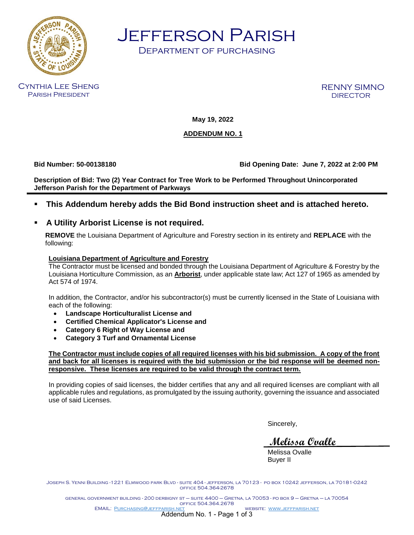

Jefferson Parish

Department of purchasing

Cynthia Lee Sheng Parish President

RENNY SIMNO **DIRECTOR** 

**May 19, 2022**

## **ADDENDUM NO. 1**

**Bid Number: 50-00138180 Bid Opening Date: June 7, 2022 at 2:00 PM**

**Description of Bid: Two (2) Year Contract for Tree Work to be Performed Throughout Unincorporated Jefferson Parish for the Department of Parkways** 

▪ **This Addendum hereby adds the Bid Bond instruction sheet and is attached hereto.**

## ▪ **A Utility Arborist License is not required.**

**REMOVE** the Louisiana Department of Agriculture and Forestry section in its entirety and **REPLACE** with the following:

## **Louisiana Department of Agriculture and Forestry**

The Contractor must be licensed and bonded through the Louisiana Department of Agriculture & Forestry by the Louisiana Horticulture Commission, as an **Arborist**, under applicable state law; Act 127 of 1965 as amended by Act 574 of 1974.

In addition, the Contractor, and/or his subcontractor(s) must be currently licensed in the State of Louisiana with each of the following:

- **Landscape Horticulturalist License and**
- **Certified Chemical Applicator's License and**
- **Category 6 Right of Way License and**
- **Category 3 Turf and Ornamental License**

**The Contractor must include copies of all required licenses with his bid submission. A copy of the front and back for all licenses is required with the bid submission or the bid response will be deemed nonresponsive. These licenses are required to be valid through the contract term.** 

In providing copies of said licenses, the bidder certifies that any and all required licenses are compliant with all applicable rules and regulations, as promulgated by the issuing authority, governing the issuance and associated use of said Licenses.

Sincerely,

**Melissa Ovalle**

Melissa Ovalle Buyer II

Joseph S. Yenni Building -1221 Elmwood park Blvd - suite 404 - jefferson, la 70123 - po box 10242 jefferson, la 70181-0242 office 504.364-2678

general government building - 200 derbigny st – suite 4400 – Gretna, la 70053 - po box 9 – Gretna – la 70054 office 504.364.2678 EMAIL: [Purchasing@jeffparish.net](mailto:Purchasing@jeffparish.net) website: [www.jeffparish.net](http://www.jeffparish.net/)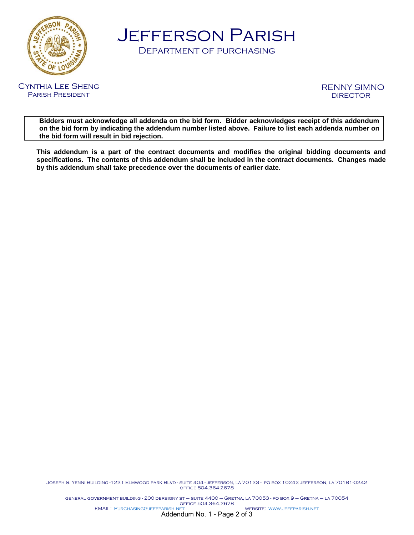

Jefferson Parish

Department of purchasing



RENNY SIMNO **DIRECTOR** 

**Bidders must acknowledge all addenda on the bid form. Bidder acknowledges receipt of this addendum on the bid form by indicating the addendum number listed above. Failure to list each addenda number on the bid form will result in bid rejection.**

**This addendum is a part of the contract documents and modifies the original bidding documents and specifications. The contents of this addendum shall be included in the contract documents. Changes made by this addendum shall take precedence over the documents of earlier date.**

Joseph S. Yenni Building -1221 Elmwood park Blvd - suite 404 - jefferson, la 70123 - po box 10242 jefferson, la 70181-0242 office 504.364-2678

general government building - 200 derbigny st – suite 4400 – Gretna, la 70053 - po box 9 – Gretna – la 70054 office 504.364.2678 EMAIL: [Purchasing@jeffparish.net](mailto:Purchasing@jeffparish.net) website: [www.jeffparish.net](http://www.jeffparish.net/)